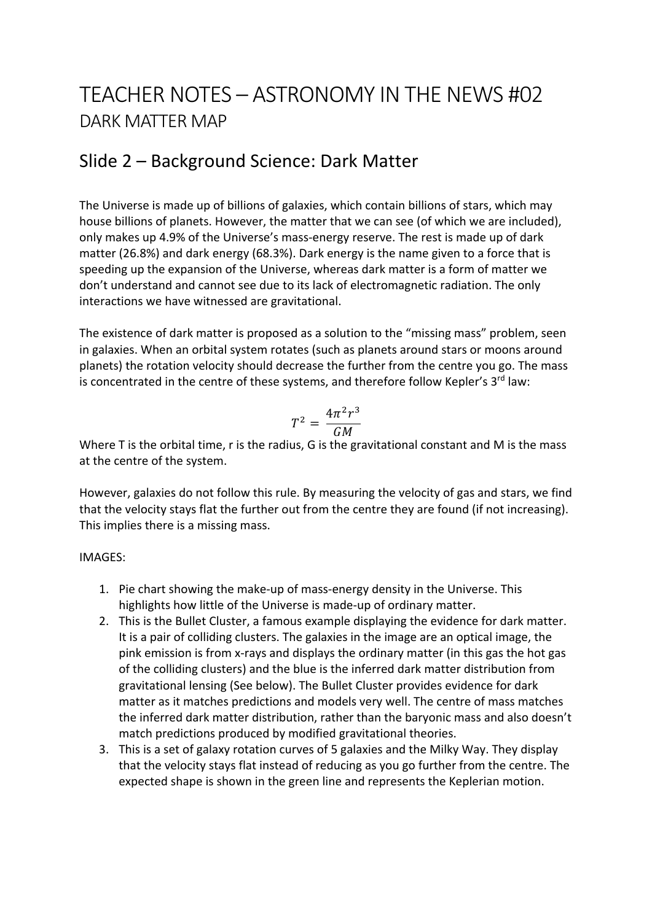# TEACHER NOTES – ASTRONOMY IN THE NEWS #02 DARK MATTER MAP

## Slide 2 – Background Science: Dark Matter

The Universe is made up of billions of galaxies, which contain billions of stars, which may house billions of planets. However, the matter that we can see (of which we are included), only makes up 4.9% of the Universe's mass-energy reserve. The rest is made up of dark matter (26.8%) and dark energy (68.3%). Dark energy is the name given to a force that is speeding up the expansion of the Universe, whereas dark matter is a form of matter we don't understand and cannot see due to its lack of electromagnetic radiation. The only interactions we have witnessed are gravitational.

The existence of dark matter is proposed as a solution to the "missing mass" problem, seen in galaxies. When an orbital system rotates (such as planets around stars or moons around planets) the rotation velocity should decrease the further from the centre you go. The mass is concentrated in the centre of these systems, and therefore follow Kepler's  $3<sup>rd</sup>$  law:

$$
T^2 = \frac{4\pi^2 r^3}{GM}
$$

Where T is the orbital time, r is the radius, G is the gravitational constant and M is the mass at the centre of the system.

However, galaxies do not follow this rule. By measuring the velocity of gas and stars, we find that the velocity stays flat the further out from the centre they are found (if not increasing). This implies there is a missing mass.

### IMAGES:

- 1. Pie chart showing the make-up of mass-energy density in the Universe. This highlights how little of the Universe is made-up of ordinary matter.
- 2. This is the Bullet Cluster, a famous example displaying the evidence for dark matter. It is a pair of colliding clusters. The galaxies in the image are an optical image, the pink emission is from x-rays and displays the ordinary matter (in this gas the hot gas of the colliding clusters) and the blue is the inferred dark matter distribution from gravitational lensing (See below). The Bullet Cluster provides evidence for dark matter as it matches predictions and models very well. The centre of mass matches the inferred dark matter distribution, rather than the baryonic mass and also doesn't match predictions produced by modified gravitational theories.
- 3. This is a set of galaxy rotation curves of 5 galaxies and the Milky Way. They display that the velocity stays flat instead of reducing as you go further from the centre. The expected shape is shown in the green line and represents the Keplerian motion.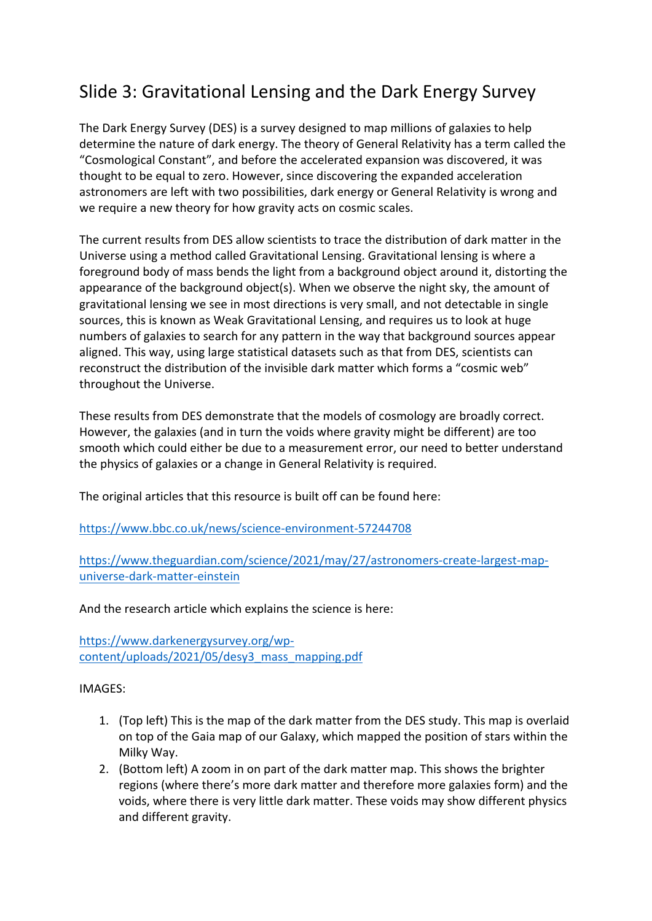# Slide 3: Gravitational Lensing and the Dark Energy Survey

The Dark Energy Survey (DES) is a survey designed to map millions of galaxies to help determine the nature of dark energy. The theory of General Relativity has a term called the "Cosmological Constant", and before the accelerated expansion was discovered, it was thought to be equal to zero. However, since discovering the expanded acceleration astronomers are left with two possibilities, dark energy or General Relativity is wrong and we require a new theory for how gravity acts on cosmic scales.

The current results from DES allow scientists to trace the distribution of dark matter in the Universe using a method called Gravitational Lensing. Gravitational lensing is where a foreground body of mass bends the light from a background object around it, distorting the appearance of the background object(s). When we observe the night sky, the amount of gravitational lensing we see in most directions is very small, and not detectable in single sources, this is known as Weak Gravitational Lensing, and requires us to look at huge numbers of galaxies to search for any pattern in the way that background sources appear aligned. This way, using large statistical datasets such as that from DES, scientists can reconstruct the distribution of the invisible dark matter which forms a "cosmic web" throughout the Universe.

These results from DES demonstrate that the models of cosmology are broadly correct. However, the galaxies (and in turn the voids where gravity might be different) are too smooth which could either be due to a measurement error, our need to better understand the physics of galaxies or a change in General Relativity is required.

The original articles that this resource is built off can be found here:

https://www.bbc.co.uk/news/science-environment-57244708

https://www.theguardian.com/science/2021/may/27/astronomers-create-largest-mapuniverse-dark-matter-einstein

And the research article which explains the science is here:

https://www.darkenergysurvey.org/wpcontent/uploads/2021/05/desy3\_mass\_mapping.pdf

#### IMAGES:

- 1. (Top left) This is the map of the dark matter from the DES study. This map is overlaid on top of the Gaia map of our Galaxy, which mapped the position of stars within the Milky Way.
- 2. (Bottom left) A zoom in on part of the dark matter map. This shows the brighter regions (where there's more dark matter and therefore more galaxies form) and the voids, where there is very little dark matter. These voids may show different physics and different gravity.